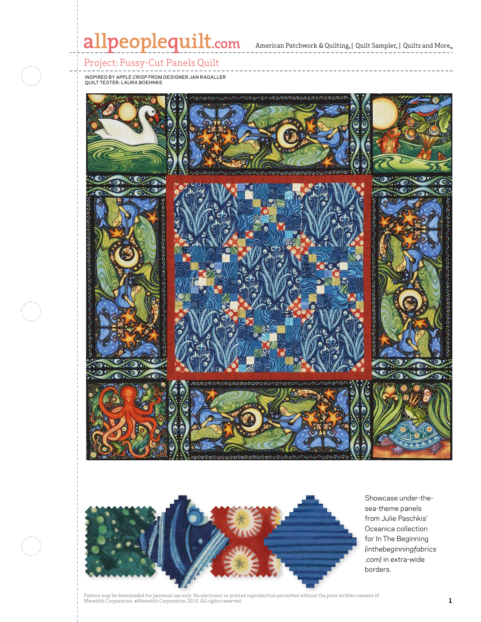# allpeoplequilt.com American Patchwork & Quilting, | Quilt Sampler, | Quilts and More..

Project: Fussy-Cut Panels Quilt

inspired by *Apple Crisp* from designer Jan Ragaller quilt tester: Laura Boehnke





Showcase under-thesea-theme panels from Julie Paschkis' Oceanica collection for In The Beginning *(inthebeginningfabrics .com)* in extra-wide borders.

Pattern may be downloaded for personal use only. No electronic or printed reproduction permitted without the prior written consent of I accent may be used to represent the Corporation 2010. All rights reserved. **1 and the complex of the Corporation 2010** and  $\mathbf{1}$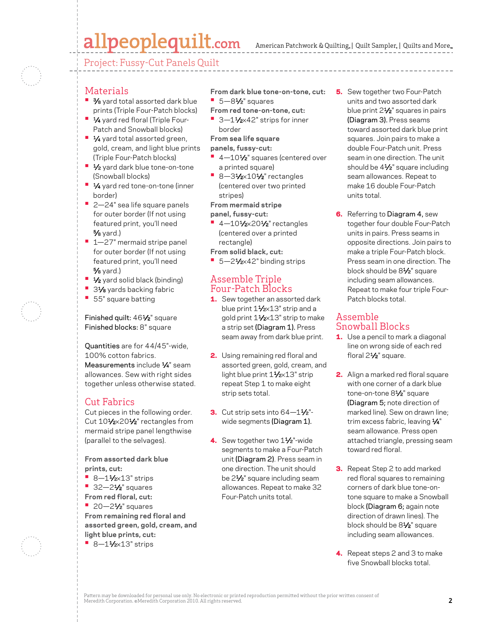## allpeoplequilt.com

Project: Fussy-Cut Panels Quilt

### **Materials**

- **3/8** yard total assorted dark blue prints (Triple Four-Patch blocks)
- **•**  1⁄4 yard red floral (Triple Four-Patch and Snowball blocks)
- **1⁄4** yard total assorted green, gold, cream, and light blue prints (Triple Four-Patch blocks)
- **1/2** yard dark blue tone-on-tone (Snowball blocks)
- **•**  1⁄4 yard red tone-on-tone (inner border)
- **•**  2—24" sea life square panels for outer border (If not using featured print, you'll need 5⁄8 yard.)
- **1–27"** mermaid stripe panel for outer border (If not using featured print, you'll need 5⁄8 yard.)
- **•** 1⁄2 yard solid black (binding)
- **31⁄8** yards backing fabric
- **•**  55" square batting

Finished quilt: 461⁄2" square Finished blocks: 8" square

Quantities are for 44/45"-wide, 100% cotton fabrics. Measurements include  $\frac{1}{4}$ " seam allowances. Sew with right sides together unless otherwise stated.

## Cut Fabrics

Cut pieces in the following order. Cut 101/2×201/2" rectangles from mermaid stripe panel lengthwise (parallel to the selvages).

**From assorted dark blue prints, cut:**

- **•** 8-11⁄2×13" strips
- **•**  32—21⁄2" squares
- **From red floral, cut:**
- **•**  20—21⁄2" squares **From remaining red floral and**
- **assorted green, gold, cream, and light blue prints, cut:**
- **•** 8-11⁄2×13" strips

**From dark blue tone-on-tone, cut: •**  5—81⁄2" squares

- **From red tone-on-tone, cut:** ■ 3-11⁄2×42" strips for inner
- border

**From sea life square**

- **panels, fussy-cut:**
- <sup>1</sup> 4 10<sup>1</sup>/<sub>2</sub>" squares (centered over a printed square)
- **•** 8-31⁄2×101⁄2" rectangles (centered over two printed stripes)

**From mermaid stripe panel, fussy-cut:**

- **•** 4-101/2×201/2" rectangles (centered over a printed rectangle)
- **From solid black, cut:**
- 5-21⁄<sub>2×42</sub>" binding strips

#### Assemble Triple Four-Patch Blocks

- 1. Sew together an assorted dark blue print 11/2×13" strip and a gold print 11⁄2×13" strip to make a strip set (Diagram 1). Press seam away from dark blue print.
- **2.** Using remaining red floral and assorted green, gold, cream, and light blue print 11⁄2×13" strip repeat Step 1 to make eight strip sets total.
- **3.** Cut strip sets into  $64-1\frac{1}{2}$ "wide segments (Diagram 1).
- 4. Sew together two 11/2"-wide segments to make a Four-Patch unit (Diagram 2). Press seam in one direction. The unit should be 2<sup>1</sup>/<sub>2</sub>" square including seam allowances. Repeat to make 32 Four-Patch units total.
- **5.** Sew together two Four-Patch units and two assorted dark blue print 2<sup>1/2"</sup> squares in pairs (Diagram 3). Press seams toward assorted dark blue print squares. Join pairs to make a double Four-Patch unit. Press seam in one direction. The unit should be 4<sup>1/2"</sup> square including seam allowances. Repeat to make 16 double Four-Patch units total.
- 6. Referring to Diagram 4, sew together four double Four-Patch units in pairs. Press seams in opposite directions. Join pairs to make a triple Four-Patch block. Press seam in one direction. The block should be 81⁄2" square including seam allowances. Repeat to make four triple Four-Patch blocks total.

#### Assemble Snowball Blocks

- 1. Use a pencil to mark a diagonal line on wrong side of each red floral 2<sup>1/2"</sup> square.
- 2. Align a marked red floral square with one corner of a dark blue tone-on-tone 8<sup>1/2</sup> square (Diagram 5; note direction of marked line). Sew on drawn line; trim excess fabric, leaving 1/4" seam allowance. Press open attached triangle, pressing seam toward red floral.
- **3.** Repeat Step 2 to add marked red floral squares to remaining corners of dark blue tone-ontone square to make a Snowball block (Diagram 6; again note direction of drawn lines). The block should be 81⁄2" square including seam allowances.
- 4. Repeat steps 2 and 3 to make five Snowball blocks total.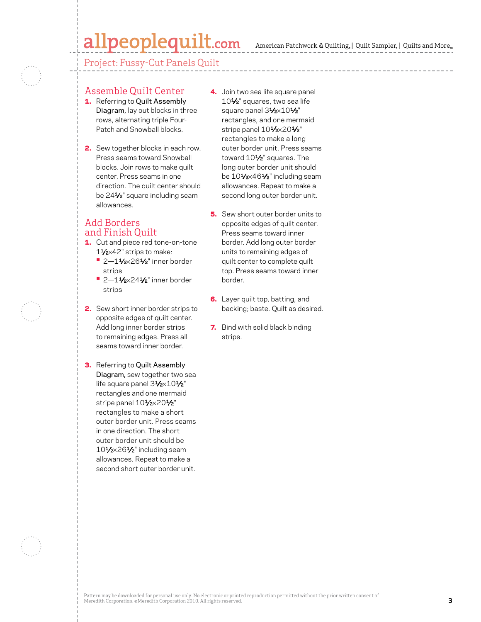## allpeoplequilt.com

American Patchwork & Quilting,  $|$  Quilt Sampler,  $|$  Quilts and More,

Project: Fussy-Cut Panels Quilt

### Assemble Quilt Center

- 1. Referring to Quilt Assembly Diagram, lay out blocks in three rows, alternating triple Four-Patch and Snowball blocks.
- **2.** Sew together blocks in each row. Press seams toward Snowball blocks. Join rows to make quilt center. Press seams in one direction. The quilt center should be 241⁄2" square including seam allowances.

### Add Borders and Finish Quilt

- 1. Cut and piece red tone-on-tone 11⁄2×42" strips to make:
	- **•** 2—11⁄2×261⁄2" inner border strips
	- **•** 2-11/2×241/2" inner border strips
- 2. Sew short inner border strips to opposite edges of quilt center. Add long inner border strips to remaining edges. Press all seams toward inner border.
- **3.** Referring to Quilt Assembly Diagram, sew together two sea life square panel 31/2×101/2" rectangles and one mermaid stripe panel 101/2×201/2" rectangles to make a short outer border unit. Press seams in one direction. The short outer border unit should be 101⁄2×261⁄2" including seam allowances. Repeat to make a second short outer border unit.
- 4. Join two sea life square panel 10<sup>1</sup>/<sub>2</sub>" squares, two sea life square panel 31/2×101/2" rectangles, and one mermaid stripe panel 101/2×201/2" rectangles to make a long outer border unit. Press seams toward 10<sup>1/2"</sup> squares. The long outer border unit should be 101/2×461/2" including seam allowances. Repeat to make a second long outer border unit.
- **5.** Sew short outer border units to opposite edges of quilt center. Press seams toward inner border. Add long outer border units to remaining edges of quilt center to complete quilt top. Press seams toward inner border.
- **6.** Layer quilt top, batting, and backing; baste. Quilt as desired.
- **7.** Bind with solid black binding strips.